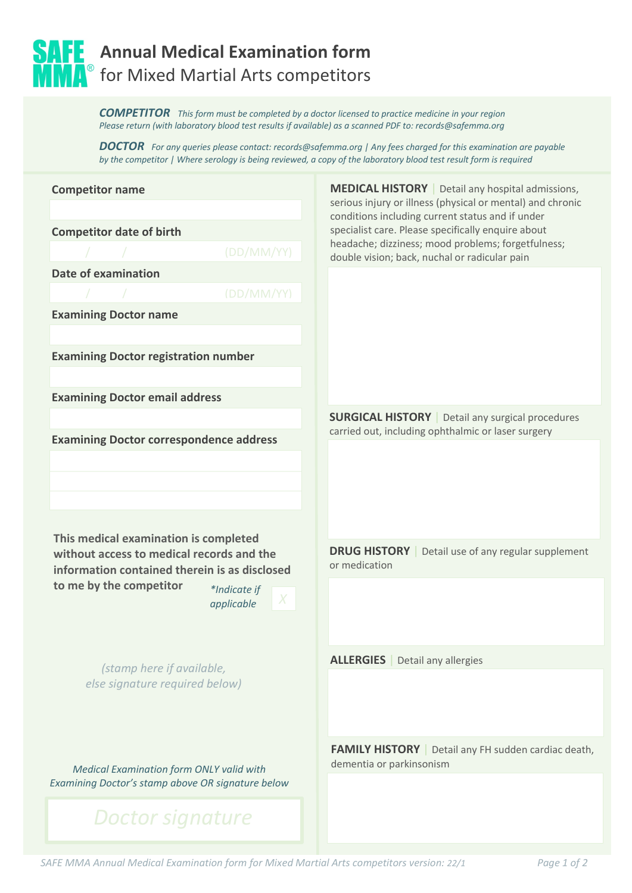## $\mathbf 1$  **Annual Medical Examination form f**<sup>®</sup> for Mixed Martial Arts competitors

*COMPETITOR This form must be completed by a doctor licensed to practice medicine in your region Please return (with laboratory blood test results if available) as a scanned PDF to: records@safemma.org*

*DOCTOR For any queries please contact: records@safemma.org | Any fees charged for this examination are payable by the competitor | Where serology is being reviewed, a copy of the laboratory blood test result form is required*

| <b>Competitor name</b>                                                                        | <b>MEDICAL HISTORY</b> Detail any hospital admissions,<br>serious injury or illness (physical or mental) and chronic |
|-----------------------------------------------------------------------------------------------|----------------------------------------------------------------------------------------------------------------------|
| <b>Competitor date of birth</b>                                                               | conditions including current status and if under<br>specialist care. Please specifically enquire about               |
| (DD/MM/YY)                                                                                    | headache; dizziness; mood problems; forgetfulness;                                                                   |
| <b>Date of examination</b>                                                                    | double vision; back, nuchal or radicular pain                                                                        |
| (DD/MM/YY)                                                                                    |                                                                                                                      |
|                                                                                               |                                                                                                                      |
| <b>Examining Doctor name</b>                                                                  |                                                                                                                      |
|                                                                                               |                                                                                                                      |
| <b>Examining Doctor registration number</b>                                                   |                                                                                                                      |
|                                                                                               |                                                                                                                      |
| <b>Examining Doctor email address</b>                                                         |                                                                                                                      |
|                                                                                               | <b>SURGICAL HISTORY</b> Detail any surgical procedures<br>carried out, including ophthalmic or laser surgery         |
| <b>Examining Doctor correspondence address</b>                                                |                                                                                                                      |
|                                                                                               |                                                                                                                      |
|                                                                                               |                                                                                                                      |
|                                                                                               |                                                                                                                      |
|                                                                                               |                                                                                                                      |
| This medical examination is completed                                                         | <b>DRUG HISTORY</b> Detail use of any regular supplement                                                             |
| without access to medical records and the<br>information contained therein is as disclosed    | or medication                                                                                                        |
| to me by the competitor<br>*Indicate if                                                       |                                                                                                                      |
| X<br>applicable                                                                               |                                                                                                                      |
|                                                                                               |                                                                                                                      |
|                                                                                               |                                                                                                                      |
| (stamp here if available,                                                                     | <b>ALLERGIES</b> Detail any allergies                                                                                |
| else signature required below)                                                                |                                                                                                                      |
|                                                                                               |                                                                                                                      |
|                                                                                               |                                                                                                                      |
|                                                                                               |                                                                                                                      |
|                                                                                               | <b>FAMILY HISTORY</b> Detail any FH sudden cardiac death,<br>dementia or parkinsonism                                |
| Medical Examination form ONLY valid with<br>Examining Doctor's stamp above OR signature below |                                                                                                                      |
|                                                                                               |                                                                                                                      |
| Doctor signature                                                                              |                                                                                                                      |
|                                                                                               |                                                                                                                      |